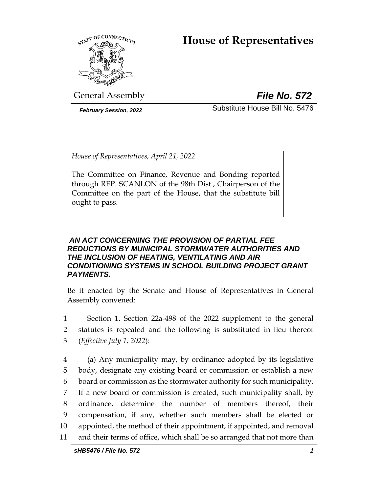# **House of Representatives**



General Assembly *File No. 572*

*February Session, 2022* Substitute House Bill No. 5476

*House of Representatives, April 21, 2022*

The Committee on Finance, Revenue and Bonding reported through REP. SCANLON of the 98th Dist., Chairperson of the Committee on the part of the House, that the substitute bill ought to pass.

# *AN ACT CONCERNING THE PROVISION OF PARTIAL FEE REDUCTIONS BY MUNICIPAL STORMWATER AUTHORITIES AND THE INCLUSION OF HEATING, VENTILATING AND AIR CONDITIONING SYSTEMS IN SCHOOL BUILDING PROJECT GRANT PAYMENTS.*

Be it enacted by the Senate and House of Representatives in General Assembly convened:

1 Section 1. Section 22a-498 of the 2022 supplement to the general 2 statutes is repealed and the following is substituted in lieu thereof 3 (*Effective July 1, 2022*):

 (a) Any municipality may, by ordinance adopted by its legislative body, designate any existing board or commission or establish a new board or commission as the stormwater authority for such municipality. If a new board or commission is created, such municipality shall, by ordinance, determine the number of members thereof, their compensation, if any, whether such members shall be elected or appointed, the method of their appointment, if appointed, and removal and their terms of office, which shall be so arranged that not more than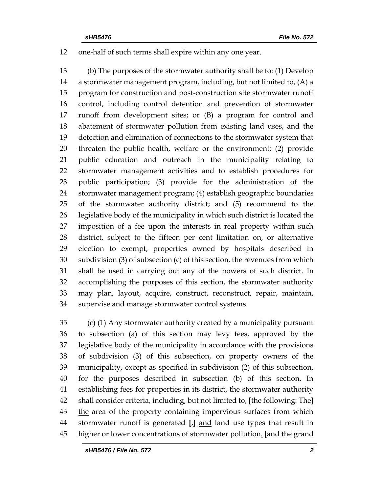## one-half of such terms shall expire within any one year.

 (b) The purposes of the stormwater authority shall be to: (1) Develop a stormwater management program, including, but not limited to, (A) a program for construction and post-construction site stormwater runoff control, including control detention and prevention of stormwater runoff from development sites; or (B) a program for control and abatement of stormwater pollution from existing land uses, and the detection and elimination of connections to the stormwater system that threaten the public health, welfare or the environment; (2) provide public education and outreach in the municipality relating to stormwater management activities and to establish procedures for public participation; (3) provide for the administration of the stormwater management program; (4) establish geographic boundaries of the stormwater authority district; and (5) recommend to the legislative body of the municipality in which such district is located the imposition of a fee upon the interests in real property within such district, subject to the fifteen per cent limitation on, or alternative election to exempt, properties owned by hospitals described in subdivision (3) of subsection (c) of this section, the revenues from which shall be used in carrying out any of the powers of such district. In accomplishing the purposes of this section, the stormwater authority may plan, layout, acquire, construct, reconstruct, repair, maintain, supervise and manage stormwater control systems.

 (c) (1) Any stormwater authority created by a municipality pursuant to subsection (a) of this section may levy fees, approved by the legislative body of the municipality in accordance with the provisions of subdivision (3) of this subsection, on property owners of the municipality, except as specified in subdivision (2) of this subsection, for the purposes described in subsection (b) of this section. In establishing fees for properties in its district, the stormwater authority shall consider criteria, including, but not limited to, **[**the following: The**]** 43 the area of the property containing impervious surfaces from which stormwater runoff is generated **[**,**]** and land use types that result in higher or lower concentrations of stormwater pollution. **[**and the grand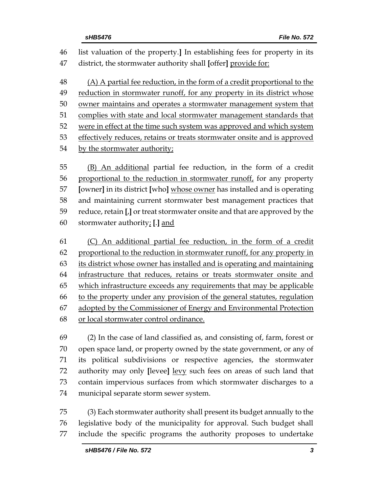list valuation of the property.**]** In establishing fees for property in its district, the stormwater authority shall **[**offer**]** provide for: (A) A partial fee reduction, in the form of a credit proportional to the reduction in stormwater runoff, for any property in its district whose owner maintains and operates a stormwater management system that complies with state and local stormwater management standards that were in effect at the time such system was approved and which system effectively reduces, retains or treats stormwater onsite and is approved by the stormwater authority; (B) An additional partial fee reduction, in the form of a credit proportional to the reduction in stormwater runoff, for any property **[**owner**]** in its district **[**who**]** whose owner has installed and is operating and maintaining current stormwater best management practices that reduce, retain **[**,**]** or treat stormwater onsite and that are approved by the stormwater authority; **[**.**]** and

 (C) An additional partial fee reduction, in the form of a credit proportional to the reduction in stormwater runoff, for any property in its district whose owner has installed and is operating and maintaining infrastructure that reduces, retains or treats stormwater onsite and which infrastructure exceeds any requirements that may be applicable to the property under any provision of the general statutes, regulation adopted by the Commissioner of Energy and Environmental Protection or local stormwater control ordinance.

 (2) In the case of land classified as, and consisting of, farm, forest or open space land, or property owned by the state government, or any of its political subdivisions or respective agencies, the stormwater authority may only **[**levee**]** levy such fees on areas of such land that contain impervious surfaces from which stormwater discharges to a municipal separate storm sewer system.

 (3) Each stormwater authority shall present its budget annually to the legislative body of the municipality for approval. Such budget shall include the specific programs the authority proposes to undertake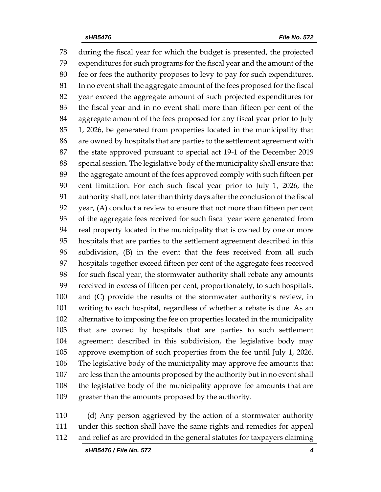during the fiscal year for which the budget is presented, the projected expenditures for such programs for the fiscal year and the amount of the fee or fees the authority proposes to levy to pay for such expenditures. In no event shall the aggregate amount of the fees proposed for the fiscal year exceed the aggregate amount of such projected expenditures for the fiscal year and in no event shall more than fifteen per cent of the aggregate amount of the fees proposed for any fiscal year prior to July 1, 2026, be generated from properties located in the municipality that are owned by hospitals that are parties to the settlement agreement with the state approved pursuant to special act 19-1 of the December 2019 special session. The legislative body of the municipality shall ensure that the aggregate amount of the fees approved comply with such fifteen per cent limitation. For each such fiscal year prior to July 1, 2026, the authority shall, not later than thirty days after the conclusion of the fiscal year, (A) conduct a review to ensure that not more than fifteen per cent of the aggregate fees received for such fiscal year were generated from real property located in the municipality that is owned by one or more hospitals that are parties to the settlement agreement described in this subdivision, (B) in the event that the fees received from all such hospitals together exceed fifteen per cent of the aggregate fees received for such fiscal year, the stormwater authority shall rebate any amounts received in excess of fifteen per cent, proportionately, to such hospitals, and (C) provide the results of the stormwater authority's review, in writing to each hospital, regardless of whether a rebate is due. As an alternative to imposing the fee on properties located in the municipality that are owned by hospitals that are parties to such settlement agreement described in this subdivision, the legislative body may approve exemption of such properties from the fee until July 1, 2026. The legislative body of the municipality may approve fee amounts that are less than the amounts proposed by the authority but in no event shall the legislative body of the municipality approve fee amounts that are greater than the amounts proposed by the authority.

 (d) Any person aggrieved by the action of a stormwater authority under this section shall have the same rights and remedies for appeal and relief as are provided in the general statutes for taxpayers claiming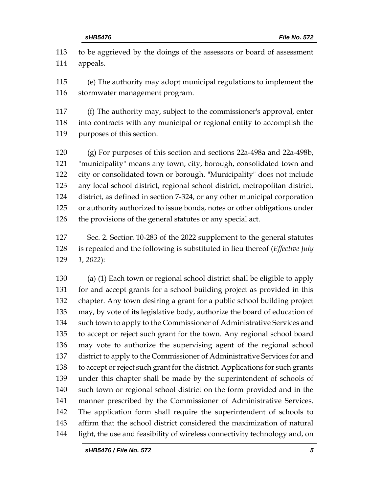to be aggrieved by the doings of the assessors or board of assessment appeals.

 (e) The authority may adopt municipal regulations to implement the stormwater management program.

 (f) The authority may, subject to the commissioner's approval, enter into contracts with any municipal or regional entity to accomplish the purposes of this section.

 (g) For purposes of this section and sections 22a-498a and 22a-498b, "municipality" means any town, city, borough, consolidated town and city or consolidated town or borough. "Municipality" does not include any local school district, regional school district, metropolitan district, district, as defined in section 7-324, or any other municipal corporation or authority authorized to issue bonds, notes or other obligations under the provisions of the general statutes or any special act.

 Sec. 2. Section 10-283 of the 2022 supplement to the general statutes is repealed and the following is substituted in lieu thereof (*Effective July 1, 2022*):

 (a) (1) Each town or regional school district shall be eligible to apply for and accept grants for a school building project as provided in this chapter. Any town desiring a grant for a public school building project may, by vote of its legislative body, authorize the board of education of such town to apply to the Commissioner of Administrative Services and to accept or reject such grant for the town. Any regional school board may vote to authorize the supervising agent of the regional school district to apply to the Commissioner of Administrative Services for and to accept or reject such grant for the district. Applications for such grants under this chapter shall be made by the superintendent of schools of such town or regional school district on the form provided and in the manner prescribed by the Commissioner of Administrative Services. The application form shall require the superintendent of schools to affirm that the school district considered the maximization of natural light, the use and feasibility of wireless connectivity technology and, on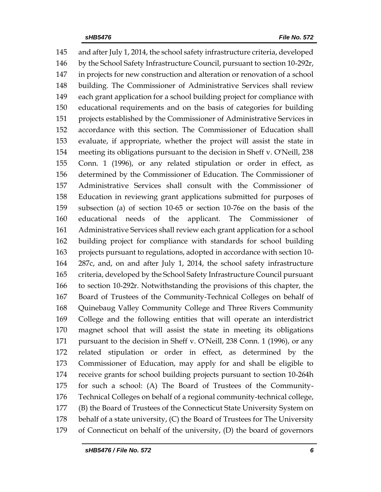and after July 1, 2014, the school safety infrastructure criteria, developed by the School Safety Infrastructure Council, pursuant to section 10-292r, in projects for new construction and alteration or renovation of a school building. The Commissioner of Administrative Services shall review each grant application for a school building project for compliance with educational requirements and on the basis of categories for building projects established by the Commissioner of Administrative Services in accordance with this section. The Commissioner of Education shall evaluate, if appropriate, whether the project will assist the state in meeting its obligations pursuant to the decision in Sheff v. O'Neill, 238 Conn. 1 (1996), or any related stipulation or order in effect, as determined by the Commissioner of Education. The Commissioner of Administrative Services shall consult with the Commissioner of Education in reviewing grant applications submitted for purposes of subsection (a) of section 10-65 or section 10-76e on the basis of the educational needs of the applicant. The Commissioner of Administrative Services shall review each grant application for a school building project for compliance with standards for school building projects pursuant to regulations, adopted in accordance with section 10- 287c, and, on and after July 1, 2014, the school safety infrastructure criteria, developed by the School Safety Infrastructure Council pursuant to section 10-292r. Notwithstanding the provisions of this chapter, the Board of Trustees of the Community-Technical Colleges on behalf of Quinebaug Valley Community College and Three Rivers Community College and the following entities that will operate an interdistrict magnet school that will assist the state in meeting its obligations pursuant to the decision in Sheff v. O'Neill, 238 Conn. 1 (1996), or any related stipulation or order in effect, as determined by the Commissioner of Education, may apply for and shall be eligible to receive grants for school building projects pursuant to section 10-264h for such a school: (A) The Board of Trustees of the Community- Technical Colleges on behalf of a regional community-technical college, (B) the Board of Trustees of the Connecticut State University System on behalf of a state university, (C) the Board of Trustees for The University of Connecticut on behalf of the university, (D) the board of governors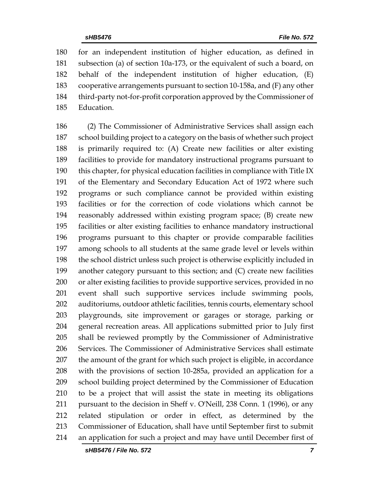for an independent institution of higher education, as defined in subsection (a) of section 10a-173, or the equivalent of such a board, on behalf of the independent institution of higher education, (E) cooperative arrangements pursuant to section 10-158a, and (F) any other third-party not-for-profit corporation approved by the Commissioner of Education.

 (2) The Commissioner of Administrative Services shall assign each school building project to a category on the basis of whether such project is primarily required to: (A) Create new facilities or alter existing facilities to provide for mandatory instructional programs pursuant to this chapter, for physical education facilities in compliance with Title IX of the Elementary and Secondary Education Act of 1972 where such programs or such compliance cannot be provided within existing facilities or for the correction of code violations which cannot be reasonably addressed within existing program space; (B) create new facilities or alter existing facilities to enhance mandatory instructional programs pursuant to this chapter or provide comparable facilities among schools to all students at the same grade level or levels within the school district unless such project is otherwise explicitly included in another category pursuant to this section; and (C) create new facilities or alter existing facilities to provide supportive services, provided in no event shall such supportive services include swimming pools, auditoriums, outdoor athletic facilities, tennis courts, elementary school playgrounds, site improvement or garages or storage, parking or general recreation areas. All applications submitted prior to July first shall be reviewed promptly by the Commissioner of Administrative Services. The Commissioner of Administrative Services shall estimate the amount of the grant for which such project is eligible, in accordance with the provisions of section 10-285a, provided an application for a school building project determined by the Commissioner of Education to be a project that will assist the state in meeting its obligations pursuant to the decision in Sheff v. O'Neill, 238 Conn. 1 (1996), or any related stipulation or order in effect, as determined by the Commissioner of Education, shall have until September first to submit an application for such a project and may have until December first of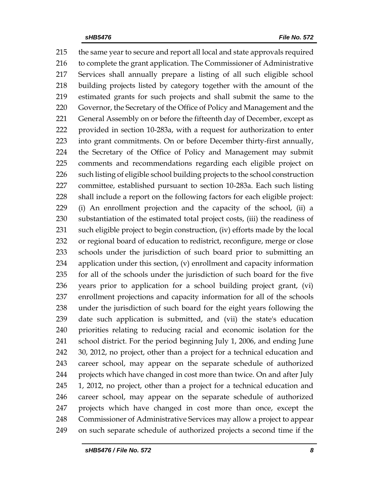the same year to secure and report all local and state approvals required to complete the grant application. The Commissioner of Administrative Services shall annually prepare a listing of all such eligible school building projects listed by category together with the amount of the estimated grants for such projects and shall submit the same to the Governor, the Secretary of the Office of Policy and Management and the 221 General Assembly on or before the fifteenth day of December, except as provided in section 10-283a, with a request for authorization to enter into grant commitments. On or before December thirty-first annually, the Secretary of the Office of Policy and Management may submit comments and recommendations regarding each eligible project on such listing of eligible school building projects to the school construction committee, established pursuant to section 10-283a. Each such listing shall include a report on the following factors for each eligible project: (i) An enrollment projection and the capacity of the school, (ii) a substantiation of the estimated total project costs, (iii) the readiness of such eligible project to begin construction, (iv) efforts made by the local or regional board of education to redistrict, reconfigure, merge or close schools under the jurisdiction of such board prior to submitting an application under this section, (v) enrollment and capacity information for all of the schools under the jurisdiction of such board for the five years prior to application for a school building project grant, (vi) enrollment projections and capacity information for all of the schools under the jurisdiction of such board for the eight years following the date such application is submitted, and (vii) the state's education priorities relating to reducing racial and economic isolation for the school district. For the period beginning July 1, 2006, and ending June 30, 2012, no project, other than a project for a technical education and career school, may appear on the separate schedule of authorized projects which have changed in cost more than twice. On and after July 1, 2012, no project, other than a project for a technical education and career school, may appear on the separate schedule of authorized projects which have changed in cost more than once, except the Commissioner of Administrative Services may allow a project to appear on such separate schedule of authorized projects a second time if the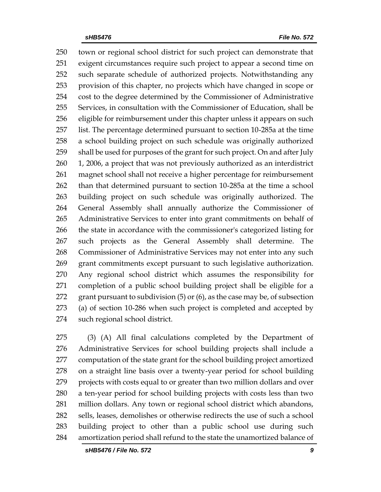town or regional school district for such project can demonstrate that exigent circumstances require such project to appear a second time on such separate schedule of authorized projects. Notwithstanding any provision of this chapter, no projects which have changed in scope or cost to the degree determined by the Commissioner of Administrative Services, in consultation with the Commissioner of Education, shall be eligible for reimbursement under this chapter unless it appears on such list. The percentage determined pursuant to section 10-285a at the time a school building project on such schedule was originally authorized shall be used for purposes of the grant for such project. On and after July 1, 2006, a project that was not previously authorized as an interdistrict magnet school shall not receive a higher percentage for reimbursement than that determined pursuant to section 10-285a at the time a school building project on such schedule was originally authorized. The General Assembly shall annually authorize the Commissioner of Administrative Services to enter into grant commitments on behalf of the state in accordance with the commissioner's categorized listing for such projects as the General Assembly shall determine. The Commissioner of Administrative Services may not enter into any such grant commitments except pursuant to such legislative authorization. Any regional school district which assumes the responsibility for completion of a public school building project shall be eligible for a grant pursuant to subdivision (5) or (6), as the case may be, of subsection (a) of section 10-286 when such project is completed and accepted by such regional school district.

 (3) (A) All final calculations completed by the Department of Administrative Services for school building projects shall include a computation of the state grant for the school building project amortized on a straight line basis over a twenty-year period for school building projects with costs equal to or greater than two million dollars and over a ten-year period for school building projects with costs less than two million dollars. Any town or regional school district which abandons, sells, leases, demolishes or otherwise redirects the use of such a school building project to other than a public school use during such amortization period shall refund to the state the unamortized balance of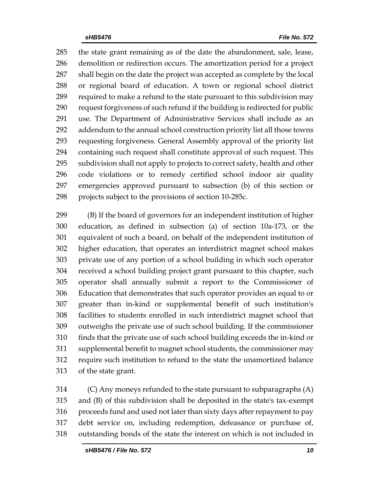the state grant remaining as of the date the abandonment, sale, lease, demolition or redirection occurs. The amortization period for a project shall begin on the date the project was accepted as complete by the local or regional board of education. A town or regional school district required to make a refund to the state pursuant to this subdivision may request forgiveness of such refund if the building is redirected for public use. The Department of Administrative Services shall include as an addendum to the annual school construction priority list all those towns requesting forgiveness. General Assembly approval of the priority list containing such request shall constitute approval of such request. This subdivision shall not apply to projects to correct safety, health and other code violations or to remedy certified school indoor air quality emergencies approved pursuant to subsection (b) of this section or projects subject to the provisions of section 10-285c.

 (B) If the board of governors for an independent institution of higher education, as defined in subsection (a) of section 10a-173, or the equivalent of such a board, on behalf of the independent institution of higher education, that operates an interdistrict magnet school makes private use of any portion of a school building in which such operator received a school building project grant pursuant to this chapter, such operator shall annually submit a report to the Commissioner of Education that demonstrates that such operator provides an equal to or greater than in-kind or supplemental benefit of such institution's facilities to students enrolled in such interdistrict magnet school that outweighs the private use of such school building. If the commissioner finds that the private use of such school building exceeds the in-kind or supplemental benefit to magnet school students, the commissioner may require such institution to refund to the state the unamortized balance of the state grant.

 (C) Any moneys refunded to the state pursuant to subparagraphs (A) and (B) of this subdivision shall be deposited in the state's tax-exempt proceeds fund and used not later than sixty days after repayment to pay debt service on, including redemption, defeasance or purchase of, outstanding bonds of the state the interest on which is not included in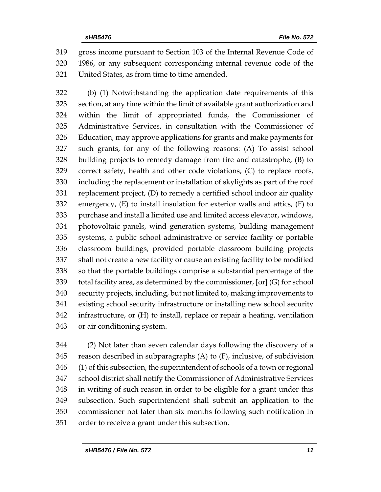gross income pursuant to Section 103 of the Internal Revenue Code of 1986, or any subsequent corresponding internal revenue code of the United States, as from time to time amended.

 (b) (1) Notwithstanding the application date requirements of this section, at any time within the limit of available grant authorization and within the limit of appropriated funds, the Commissioner of Administrative Services, in consultation with the Commissioner of Education, may approve applications for grants and make payments for such grants, for any of the following reasons: (A) To assist school building projects to remedy damage from fire and catastrophe, (B) to correct safety, health and other code violations, (C) to replace roofs, including the replacement or installation of skylights as part of the roof replacement project, (D) to remedy a certified school indoor air quality emergency, (E) to install insulation for exterior walls and attics, (F) to purchase and install a limited use and limited access elevator, windows, photovoltaic panels, wind generation systems, building management systems, a public school administrative or service facility or portable classroom buildings, provided portable classroom building projects shall not create a new facility or cause an existing facility to be modified so that the portable buildings comprise a substantial percentage of the total facility area, as determined by the commissioner, **[**or**]** (G) for school security projects, including, but not limited to, making improvements to existing school security infrastructure or installing new school security infrastructure, or (H) to install, replace or repair a heating, ventilation or air conditioning system.

 (2) Not later than seven calendar days following the discovery of a reason described in subparagraphs (A) to (F), inclusive, of subdivision (1) of this subsection, the superintendent of schools of a town or regional school district shall notify the Commissioner of Administrative Services in writing of such reason in order to be eligible for a grant under this subsection. Such superintendent shall submit an application to the commissioner not later than six months following such notification in order to receive a grant under this subsection.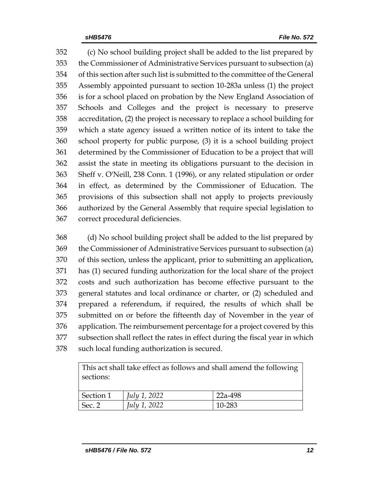(c) No school building project shall be added to the list prepared by the Commissioner of Administrative Services pursuant to subsection (a) of this section after such list is submitted to the committee of the General Assembly appointed pursuant to section 10-283a unless (1) the project is for a school placed on probation by the New England Association of Schools and Colleges and the project is necessary to preserve accreditation, (2) the project is necessary to replace a school building for which a state agency issued a written notice of its intent to take the school property for public purpose, (3) it is a school building project determined by the Commissioner of Education to be a project that will assist the state in meeting its obligations pursuant to the decision in Sheff v. O'Neill, 238 Conn. 1 (1996), or any related stipulation or order in effect, as determined by the Commissioner of Education. The provisions of this subsection shall not apply to projects previously authorized by the General Assembly that require special legislation to correct procedural deficiencies.

 (d) No school building project shall be added to the list prepared by the Commissioner of Administrative Services pursuant to subsection (a) of this section, unless the applicant, prior to submitting an application, has (1) secured funding authorization for the local share of the project costs and such authorization has become effective pursuant to the general statutes and local ordinance or charter, or (2) scheduled and prepared a referendum, if required, the results of which shall be submitted on or before the fifteenth day of November in the year of application. The reimbursement percentage for a project covered by this subsection shall reflect the rates in effect during the fiscal year in which such local funding authorization is secured.

This act shall take effect as follows and shall amend the following sections:

| Section 1 | July 1, 2022 | 22a-498 |
|-----------|--------------|---------|
| Sec. 2    | July 1, 2022 | 10-283  |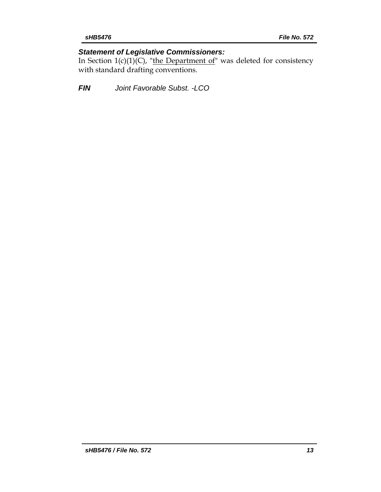# *Statement of Legislative Commissioners:*

In Section  $1(c)(1)(C)$ , "the Department of" was deleted for consistency with standard drafting conventions.

*FIN Joint Favorable Subst. -LCO*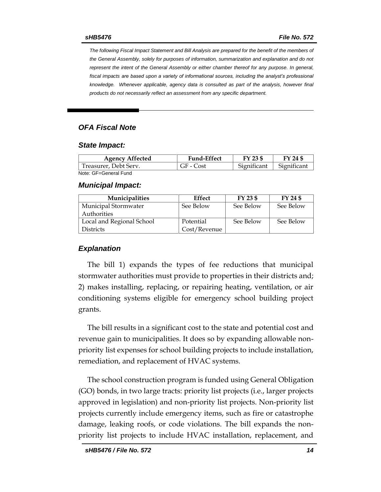*The following Fiscal Impact Statement and Bill Analysis are prepared for the benefit of the members of the General Assembly, solely for purposes of information, summarization and explanation and do not represent the intent of the General Assembly or either chamber thereof for any purpose. In general,*  fiscal impacts are based upon a variety of informational sources, including the analyst's professional *knowledge. Whenever applicable, agency data is consulted as part of the analysis, however final products do not necessarily reflect an assessment from any specific department.*

## *OFA Fiscal Note*

#### *State Impact:*

| <b>Agency Affected</b> | <b>Fund-Effect</b> | FY 23 \$    | FY 24 \$    |
|------------------------|--------------------|-------------|-------------|
| Treasurer, Debt Serv.  | GF - Cost          | Significant | Significant |
| Note: GF=General Fund  |                    |             |             |

#### *Municipal Impact:*

| <b>Municipalities</b>     | Effect       | FY 23 \$  | FY 24 \$  |
|---------------------------|--------------|-----------|-----------|
| Municipal Stormwater      | See Below    | See Below | See Below |
| Authorities               |              |           |           |
| Local and Regional School | Potential    | See Below | See Below |
| <b>Districts</b>          | Cost/Revenue |           |           |

### *Explanation*

The bill 1) expands the types of fee reductions that municipal stormwater authorities must provide to properties in their districts and; 2) makes installing, replacing, or repairing heating, ventilation, or air conditioning systems eligible for emergency school building project grants.

The bill results in a significant cost to the state and potential cost and revenue gain to municipalities. It does so by expanding allowable nonpriority list expenses for school building projects to include installation, remediation, and replacement of HVAC systems.

The school construction program is funded using General Obligation (GO) bonds, in two large tracts: priority list projects (i.e., larger projects approved in legislation) and non-priority list projects. Non-priority list projects currently include emergency items, such as fire or catastrophe damage, leaking roofs, or code violations. The bill expands the nonpriority list projects to include HVAC installation, replacement, and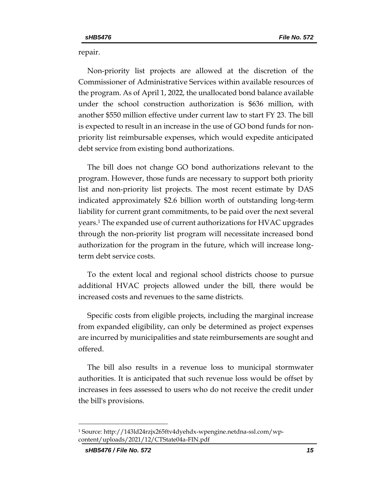repair.

Non-priority list projects are allowed at the discretion of the Commissioner of Administrative Services within available resources of the program. As of April 1, 2022, the unallocated bond balance available under the school construction authorization is \$636 million, with another \$550 million effective under current law to start FY 23. The bill is expected to result in an increase in the use of GO bond funds for nonpriority list reimbursable expenses, which would expedite anticipated debt service from existing bond authorizations.

The bill does not change GO bond authorizations relevant to the program. However, those funds are necessary to support both priority list and non-priority list projects. The most recent estimate by DAS indicated approximately \$2.6 billion worth of outstanding long-term liability for current grant commitments, to be paid over the next several years.<sup>1</sup> The expanded use of current authorizations for HVAC upgrades through the non-priority list program will necessitate increased bond authorization for the program in the future, which will increase longterm debt service costs.

To the extent local and regional school districts choose to pursue additional HVAC projects allowed under the bill, there would be increased costs and revenues to the same districts.

Specific costs from eligible projects, including the marginal increase from expanded eligibility, can only be determined as project expenses are incurred by municipalities and state reimbursements are sought and offered.

The bill also results in a revenue loss to municipal stormwater authorities. It is anticipated that such revenue loss would be offset by increases in fees assessed to users who do not receive the credit under the bill's provisions.

<sup>1</sup> Source: http://143ld24rzjx265ftv4dyehdx-wpengine.netdna-ssl.com/wpcontent/uploads/2021/12/CTState04a-FIN.pdf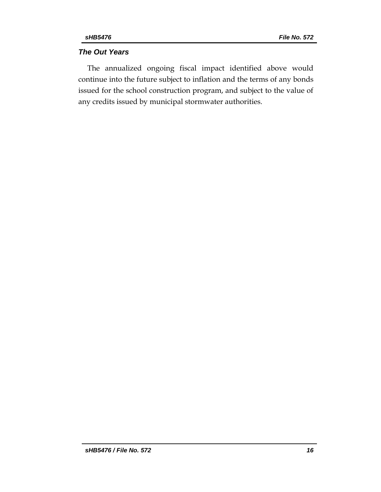# *The Out Years*

The annualized ongoing fiscal impact identified above would continue into the future subject to inflation and the terms of any bonds issued for the school construction program, and subject to the value of any credits issued by municipal stormwater authorities.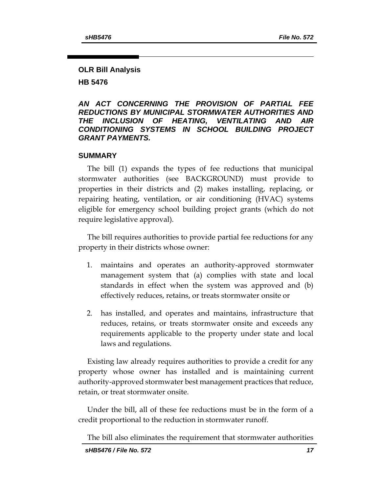# **OLR Bill Analysis**

**HB 5476**

## *AN ACT CONCERNING THE PROVISION OF PARTIAL FEE REDUCTIONS BY MUNICIPAL STORMWATER AUTHORITIES AND THE INCLUSION OF HEATING, VENTILATING AND AIR CONDITIONING SYSTEMS IN SCHOOL BUILDING PROJECT GRANT PAYMENTS.*

# **SUMMARY**

The bill (1) expands the types of fee reductions that municipal stormwater authorities (see BACKGROUND) must provide to properties in their districts and (2) makes installing, replacing, or repairing heating, ventilation, or air conditioning (HVAC) systems eligible for emergency school building project grants (which do not require legislative approval).

The bill requires authorities to provide partial fee reductions for any property in their districts whose owner:

- 1. maintains and operates an authority-approved stormwater management system that (a) complies with state and local standards in effect when the system was approved and (b) effectively reduces, retains, or treats stormwater onsite or
- 2. has installed, and operates and maintains, infrastructure that reduces, retains, or treats stormwater onsite and exceeds any requirements applicable to the property under state and local laws and regulations.

Existing law already requires authorities to provide a credit for any property whose owner has installed and is maintaining current authority-approved stormwater best management practices that reduce, retain, or treat stormwater onsite.

Under the bill, all of these fee reductions must be in the form of a credit proportional to the reduction in stormwater runoff.

The bill also eliminates the requirement that stormwater authorities